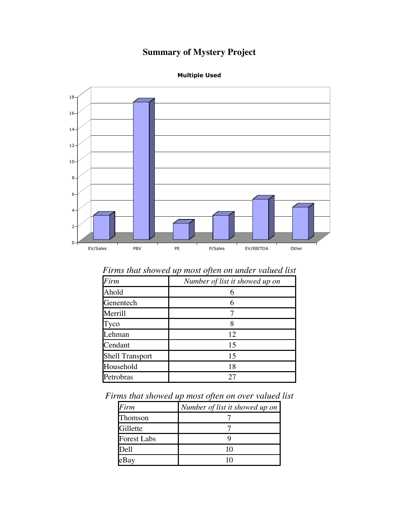## **Summary of Mystery Project**



## **Multiple Used**

*Firms that showed up most often on under valued list*

| Firm                   | Number of list it showed up on |
|------------------------|--------------------------------|
| Ahold                  | h                              |
| Genentech              | 6                              |
| Merrill                |                                |
| Tyco                   | 8                              |
| Lehman                 | 12                             |
| Cendant                | 15                             |
| <b>Shell Transport</b> | 15                             |
| Household              | 18                             |
| Petrobras              | 27                             |

*Firms that showed up most often on over valued list*

| Firm               | Number of list it showed up on |  |
|--------------------|--------------------------------|--|
| Thomson            |                                |  |
| Gillette           |                                |  |
| <b>Forest Labs</b> |                                |  |
| Dell               | 10                             |  |
| eBay               |                                |  |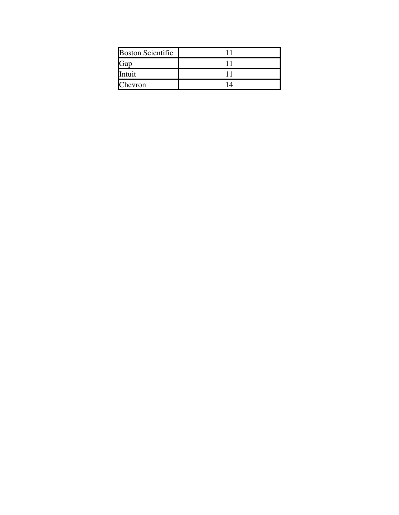| <b>Boston Scientific</b> |  |
|--------------------------|--|
| Gap                      |  |
| Intuit                   |  |
| Chevron                  |  |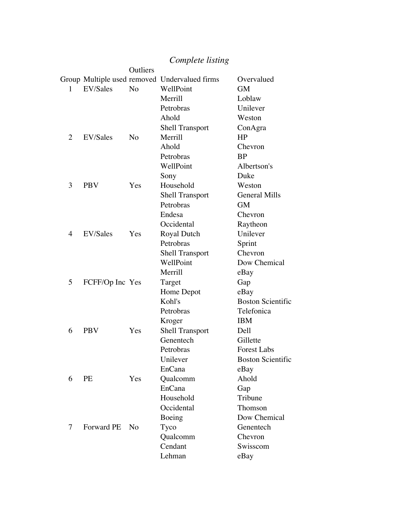## *Complete listing*

|                |                   | Outliers       | Group Multiple used removed Undervalued firms | Overvalued               |
|----------------|-------------------|----------------|-----------------------------------------------|--------------------------|
| 1              | EV/Sales          | No             | WellPoint                                     | <b>GM</b>                |
|                |                   |                | Merrill                                       | Loblaw                   |
|                |                   |                | Petrobras                                     | Unilever                 |
|                |                   |                | Ahold                                         | Weston                   |
|                |                   |                | <b>Shell Transport</b>                        | ConAgra                  |
| 2              | EV/Sales          | N <sub>o</sub> | Merrill                                       | HP                       |
|                |                   |                | Ahold                                         | Chevron                  |
|                |                   |                | Petrobras                                     | <b>BP</b>                |
|                |                   |                | WellPoint                                     | Albertson's              |
|                |                   |                | Sony                                          | Duke                     |
| 3              | <b>PBV</b>        | Yes            | Household                                     | Weston                   |
|                |                   |                | <b>Shell Transport</b>                        | <b>General Mills</b>     |
|                |                   |                | Petrobras                                     | <b>GM</b>                |
|                |                   |                | Endesa                                        | Chevron                  |
|                |                   |                | Occidental                                    | Raytheon                 |
| $\overline{4}$ | EV/Sales          | Yes            | <b>Royal Dutch</b>                            | Unilever                 |
|                |                   |                | Petrobras                                     | Sprint                   |
|                |                   |                | <b>Shell Transport</b>                        | Chevron                  |
|                |                   |                | WellPoint                                     | Dow Chemical             |
|                |                   |                | Merrill                                       | eBay                     |
| 5              | FCFF/Op Inc Yes   |                | Target                                        | Gap                      |
|                |                   |                | Home Depot                                    | eBay                     |
|                |                   |                | Kohl's                                        | <b>Boston Scientific</b> |
|                |                   |                | Petrobras                                     | Telefonica               |
|                |                   |                | Kroger                                        | <b>IBM</b>               |
| 6              | <b>PBV</b>        | Yes            | <b>Shell Transport</b>                        | Dell                     |
|                |                   |                | Genentech                                     | Gillette                 |
|                |                   |                | Petrobras                                     | <b>Forest Labs</b>       |
|                |                   |                | Unilever                                      | <b>Boston Scientific</b> |
|                |                   |                | EnCana                                        | eBay                     |
| 6              | PE                | Yes            | Qualcomm                                      | Ahold                    |
|                |                   |                | EnCana                                        | Gap                      |
|                |                   |                | Household                                     | Tribune                  |
|                |                   |                | Occidental                                    | Thomson                  |
|                |                   |                | Boeing                                        | Dow Chemical             |
| 7              | <b>Forward PE</b> | N <sub>o</sub> | Tyco                                          | Genentech                |
|                |                   |                | Qualcomm                                      | Chevron                  |
|                |                   |                | Cendant                                       | Swisscom                 |
|                |                   |                | Lehman                                        | eBay                     |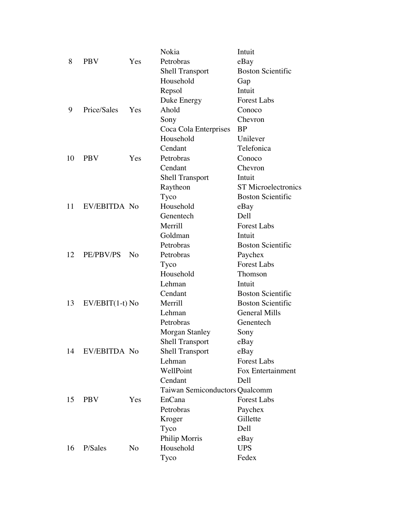|    |                   |                | Nokia                          | Intuit                     |
|----|-------------------|----------------|--------------------------------|----------------------------|
| 8  | <b>PBV</b>        | Yes            | Petrobras                      | eBay                       |
|    |                   |                | <b>Shell Transport</b>         | <b>Boston Scientific</b>   |
|    |                   |                | Household                      | Gap                        |
|    |                   |                | Repsol                         | Intuit                     |
|    |                   |                | Duke Energy                    | <b>Forest Labs</b>         |
| 9  | Price/Sales       | Yes            | Ahold                          | Conoco                     |
|    |                   |                | Sony                           | Chevron                    |
|    |                   |                | Coca Cola Enterprises          | <b>BP</b>                  |
|    |                   |                | Household                      | Unilever                   |
|    |                   |                | Cendant                        | Telefonica                 |
| 10 | <b>PBV</b>        | Yes            | Petrobras                      | Conoco                     |
|    |                   |                | Cendant                        | Chevron                    |
|    |                   |                | <b>Shell Transport</b>         | Intuit                     |
|    |                   |                | Raytheon                       | <b>ST</b> Microelectronics |
|    |                   |                | Tyco                           | <b>Boston Scientific</b>   |
| 11 | EV/EBITDA No      |                | Household                      | eBay                       |
|    |                   |                | Genentech                      | Dell                       |
|    |                   |                | Merrill                        | <b>Forest Labs</b>         |
|    |                   |                | Goldman                        | Intuit                     |
|    |                   |                | Petrobras                      | <b>Boston Scientific</b>   |
| 12 | PE/PBV/PS         | No             | Petrobras                      | Paychex                    |
|    |                   |                | Tyco                           | <b>Forest Labs</b>         |
|    |                   |                | Household                      | Thomson                    |
|    |                   |                | Lehman                         | Intuit                     |
|    |                   |                | Cendant                        | <b>Boston Scientific</b>   |
| 13 | $EV/EBIT(1-t)$ No |                | Merrill                        | <b>Boston Scientific</b>   |
|    |                   |                | Lehman                         | <b>General Mills</b>       |
|    |                   |                | Petrobras                      | Genentech                  |
|    |                   |                | <b>Morgan Stanley</b>          | Sony                       |
|    |                   |                | <b>Shell Transport</b>         | eBay                       |
| 14 | EV/EBITDA No      |                | <b>Shell Transport</b>         | eBay                       |
|    |                   |                | Lehman                         | <b>Forest Labs</b>         |
|    |                   |                | WellPoint                      | Fox Entertainment          |
|    |                   |                | Cendant                        | Dell                       |
|    |                   |                | Taiwan Semiconductors Qualcomm |                            |
| 15 | <b>PBV</b>        | Yes            | EnCana                         | <b>Forest Labs</b>         |
|    |                   |                | Petrobras                      | Paychex                    |
|    |                   |                | Kroger                         | Gillette                   |
|    |                   |                | Tyco                           | Dell                       |
|    |                   |                | Philip Morris                  | eBay                       |
| 16 | P/Sales           | N <sub>o</sub> | Household                      | <b>UPS</b>                 |
|    |                   |                | Tyco                           | Fedex                      |
|    |                   |                |                                |                            |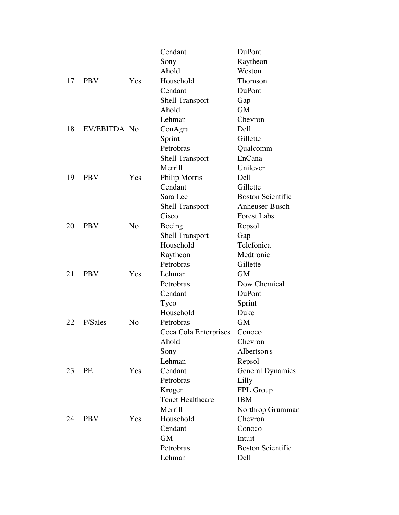|    |              |     | Cendant                 | DuPont                   |
|----|--------------|-----|-------------------------|--------------------------|
|    |              |     | Sony                    | Raytheon                 |
|    |              |     | Ahold                   | Weston                   |
| 17 | <b>PBV</b>   | Yes | Household               | Thomson                  |
|    |              |     | Cendant                 | <b>DuPont</b>            |
|    |              |     | <b>Shell Transport</b>  | Gap                      |
|    |              |     | Ahold                   | <b>GM</b>                |
|    |              |     | Lehman                  | Chevron                  |
| 18 | EV/EBITDA No |     | ConAgra                 | Dell                     |
|    |              |     | Sprint                  | Gillette                 |
|    |              |     | Petrobras               | Qualcomm                 |
|    |              |     | <b>Shell Transport</b>  | EnCana                   |
|    |              |     | Merrill                 | Unilever                 |
| 19 | <b>PBV</b>   | Yes | Philip Morris           | Dell                     |
|    |              |     | Cendant                 | Gillette                 |
|    |              |     | Sara Lee                | <b>Boston Scientific</b> |
|    |              |     | <b>Shell Transport</b>  | Anheuser-Busch           |
|    |              |     | Cisco                   | <b>Forest Labs</b>       |
| 20 | <b>PBV</b>   | No  | Boeing                  | Repsol                   |
|    |              |     | <b>Shell Transport</b>  | Gap                      |
|    |              |     | Household               | Telefonica               |
|    |              |     | Raytheon                | Medtronic                |
|    |              |     | Petrobras               | Gillette                 |
| 21 | <b>PBV</b>   | Yes | Lehman                  | <b>GM</b>                |
|    |              |     | Petrobras               | Dow Chemical             |
|    |              |     | Cendant                 | DuPont                   |
|    |              |     | Tyco                    | Sprint                   |
|    |              |     | Household               | Duke                     |
| 22 | P/Sales      | No  | Petrobras               | <b>GM</b>                |
|    |              |     | Coca Cola Enterprises   | Conoco                   |
|    |              |     | Ahold                   | Chevron                  |
|    |              |     | Sony                    | Albertson's              |
|    |              |     | Lehman                  | Repsol                   |
| 23 | <b>PE</b>    | Yes | Cendant                 | <b>General Dynamics</b>  |
|    |              |     | Petrobras               | Lilly                    |
|    |              |     | Kroger                  | FPL Group                |
|    |              |     | <b>Tenet Healthcare</b> | <b>IBM</b>               |
|    |              |     | Merrill                 | Northrop Grumman         |
| 24 | <b>PBV</b>   | Yes | Household               | Chevron                  |
|    |              |     | Cendant                 | Conoco                   |
|    |              |     | <b>GM</b>               | Intuit                   |
|    |              |     | Petrobras               | <b>Boston Scientific</b> |
|    |              |     | Lehman                  | Dell                     |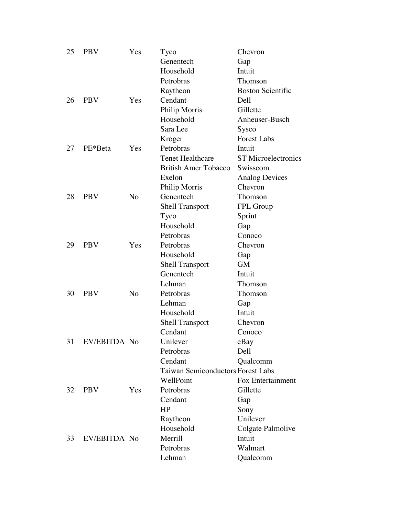| 25 | <b>PBV</b>   | Yes            | Tyco                                     | Chevron                    |
|----|--------------|----------------|------------------------------------------|----------------------------|
|    |              |                | Genentech                                | Gap                        |
|    |              |                | Household                                | Intuit                     |
|    |              |                | Petrobras                                | Thomson                    |
|    |              |                | Raytheon                                 | <b>Boston Scientific</b>   |
| 26 | <b>PBV</b>   | Yes            | Cendant                                  | Dell                       |
|    |              |                | Philip Morris                            | Gillette                   |
|    |              |                | Household                                | Anheuser-Busch             |
|    |              |                | Sara Lee                                 | Sysco                      |
|    |              |                | Kroger                                   | <b>Forest Labs</b>         |
| 27 | PE*Beta      | Yes            | Petrobras                                | Intuit                     |
|    |              |                | <b>Tenet Healthcare</b>                  | <b>ST</b> Microelectronics |
|    |              |                | <b>British Amer Tobacco</b>              | Swisscom                   |
|    |              |                | Exelon                                   | <b>Analog Devices</b>      |
|    |              |                | <b>Philip Morris</b>                     | Chevron                    |
| 28 | <b>PBV</b>   | N <sub>o</sub> | Genentech                                | Thomson                    |
|    |              |                | <b>Shell Transport</b>                   | FPL Group                  |
|    |              |                | Tyco                                     | Sprint                     |
|    |              |                | Household                                | Gap                        |
|    |              |                | Petrobras                                | Conoco                     |
| 29 | <b>PBV</b>   | Yes            | Petrobras                                | Chevron                    |
|    |              |                | Household                                | Gap                        |
|    |              |                | <b>Shell Transport</b>                   | <b>GM</b>                  |
|    |              |                | Genentech                                | Intuit                     |
|    |              |                | Lehman                                   | Thomson                    |
| 30 | <b>PBV</b>   | No             | Petrobras                                | Thomson                    |
|    |              |                | Lehman                                   | Gap                        |
|    |              |                | Household                                | Intuit                     |
|    |              |                | <b>Shell Transport</b>                   | Chevron                    |
|    |              |                | Cendant                                  | Conoco                     |
| 31 | EV/EBITDA No |                | Unilever                                 | eBay                       |
|    |              |                | Petrobras                                | Dell                       |
|    |              |                | Cendant                                  | Qualcomm                   |
|    |              |                | <b>Taiwan Semiconductors Forest Labs</b> |                            |
|    |              |                | WellPoint                                | Fox Entertainment          |
| 32 | <b>PBV</b>   | Yes            | Petrobras                                | Gillette                   |
|    |              |                | Cendant                                  | Gap                        |
|    |              |                | HP                                       | Sony                       |
|    |              |                | Raytheon                                 | Unilever                   |
|    |              |                | Household                                | Colgate Palmolive          |
| 33 | EV/EBITDA No |                | Merrill                                  | Intuit                     |
|    |              |                | Petrobras                                | Walmart                    |
|    |              |                | Lehman                                   | Qualcomm                   |